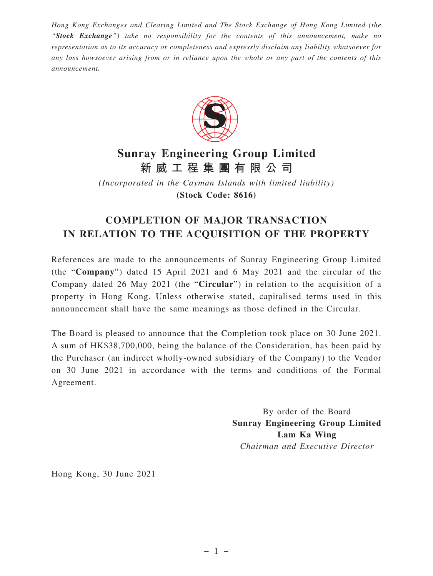*Hong Kong Exchanges and Clearing Limited and The Stock Exchange of Hong Kong Limited (the "Stock Exchange") take no responsibility for the contents of this announcement, make no representation as to its accuracy or completeness and expressly disclaim any liability whatsoever for any loss howsoever arising from or in reliance upon the whole or any part of the contents of this announcement.*



## **Sunray Engineering Group Limited 新威工程集團有限公司**

*(Incorporated in the Cayman Islands with limited liability)* **(Stock Code: 8616)**

## **COMPLETION OF MAJOR TRANSACTION IN RELATION TO THE ACQUISITION OF THE PROPERTY**

References are made to the announcements of Sunray Engineering Group Limited (the "**Company**") dated 15 April 2021 and 6 May 2021 and the circular of the Company dated 26 May 2021 (the "**Circular**") in relation to the acquisition of a property in Hong Kong. Unless otherwise stated, capitalised terms used in this announcement shall have the same meanings as those defined in the Circular.

The Board is pleased to announce that the Completion took place on 30 June 2021. A sum of HK\$38,700,000, being the balance of the Consideration, has been paid by the Purchaser (an indirect wholly-owned subsidiary of the Company) to the Vendor on 30 June 2021 in accordance with the terms and conditions of the Formal Agreement.

> By order of the Board **Sunray Engineering Group Limited Lam Ka Wing** *Chairman and Executive Director*

Hong Kong, 30 June 2021